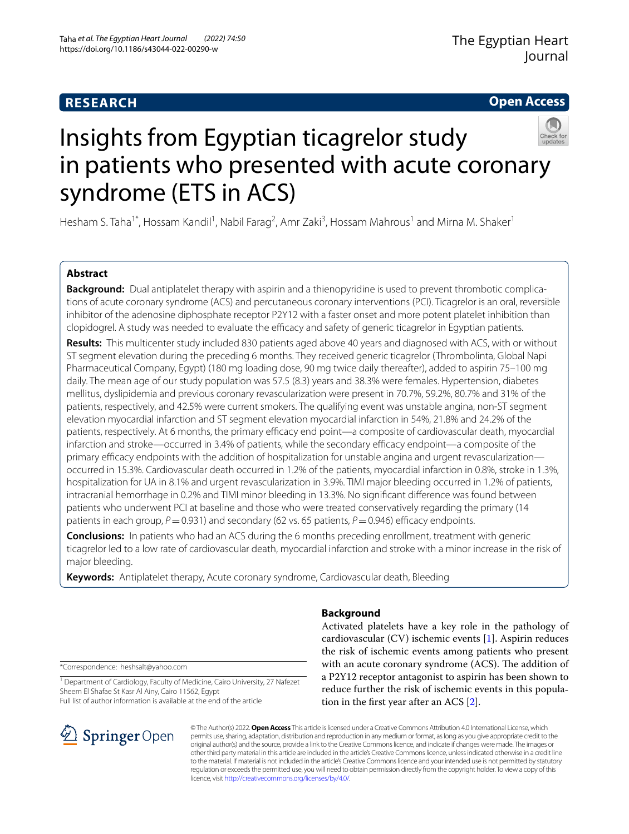# **RESEARCH**

**Open Access**

# Insights from Egyptian ticagrelor study in patients who presented with acute coronary syndrome (ETS in ACS)

Hesham S. Taha<sup>1\*</sup>, Hossam Kandil<sup>1</sup>, Nabil Farag<sup>2</sup>, Amr Zaki<sup>3</sup>, Hossam Mahrous<sup>1</sup> and Mirna M. Shaker<sup>1</sup>

# **Abstract**

**Background:** Dual antiplatelet therapy with aspirin and a thienopyridine is used to prevent thrombotic complications of acute coronary syndrome (ACS) and percutaneous coronary interventions (PCI). Ticagrelor is an oral, reversible inhibitor of the adenosine diphosphate receptor P2Y12 with a faster onset and more potent platelet inhibition than clopidogrel. A study was needed to evaluate the efficacy and safety of generic ticagrelor in Egyptian patients.

**Results:** This multicenter study included 830 patients aged above 40 years and diagnosed with ACS, with or without ST segment elevation during the preceding 6 months. They received generic ticagrelor (Thrombolinta, Global Napi Pharmaceutical Company, Egypt) (180 mg loading dose, 90 mg twice daily thereafter), added to aspirin 75–100 mg daily. The mean age of our study population was 57.5 (8.3) years and 38.3% were females. Hypertension, diabetes mellitus, dyslipidemia and previous coronary revascularization were present in 70.7%, 59.2%, 80.7% and 31% of the patients, respectively, and 42.5% were current smokers. The qualifying event was unstable angina, non-ST segment elevation myocardial infarction and ST segment elevation myocardial infarction in 54%, 21.8% and 24.2% of the patients, respectively. At 6 months, the primary efficacy end point—a composite of cardiovascular death, myocardial infarction and stroke—occurred in 3.4% of patients, while the secondary efficacy endpoint—a composite of the primary efficacy endpoints with the addition of hospitalization for unstable angina and urgent revascularization occurred in 15.3%. Cardiovascular death occurred in 1.2% of the patients, myocardial infarction in 0.8%, stroke in 1.3%, hospitalization for UA in 8.1% and urgent revascularization in 3.9%. TIMI major bleeding occurred in 1.2% of patients, intracranial hemorrhage in 0.2% and TIMI minor bleeding in 13.3%. No signifcant diference was found between patients who underwent PCI at baseline and those who were treated conservatively regarding the primary (14 patients in each group,  $P = 0.931$ ) and secondary (62 vs. 65 patients,  $P = 0.946$ ) efficacy endpoints.

**Conclusions:** In patients who had an ACS during the 6 months preceding enrollment, treatment with generic ticagrelor led to a low rate of cardiovascular death, myocardial infarction and stroke with a minor increase in the risk of major bleeding.

**Keywords:** Antiplatelet therapy, Acute coronary syndrome, Cardiovascular death, Bleeding

# **Background**

Activated platelets have a key role in the pathology of cardiovascular (CV) ischemic events [[1\]](#page-6-0). Aspirin reduces the risk of ischemic events among patients who present with an acute coronary syndrome (ACS). The addition of a P2Y12 receptor antagonist to aspirin has been shown to reduce further the risk of ischemic events in this population in the frst year after an ACS [[2\]](#page-6-1).

\*Correspondence: heshsalt@yahoo.com

<sup>1</sup> Department of Cardiology, Faculty of Medicine, Cairo University, 27 Nafezet Sheem El Shafae St Kasr Al Ainy, Cairo 11562, Egypt Full list of author information is available at the end of the article



© The Author(s) 2022. **Open Access** This article is licensed under a Creative Commons Attribution 4.0 International License, which permits use, sharing, adaptation, distribution and reproduction in any medium or format, as long as you give appropriate credit to the original author(s) and the source, provide a link to the Creative Commons licence, and indicate if changes were made. The images or other third party material in this article are included in the article's Creative Commons licence, unless indicated otherwise in a credit line to the material. If material is not included in the article's Creative Commons licence and your intended use is not permitted by statutory regulation or exceeds the permitted use, you will need to obtain permission directly from the copyright holder. To view a copy of this licence, visit [http://creativecommons.org/licenses/by/4.0/.](http://creativecommons.org/licenses/by/4.0/)

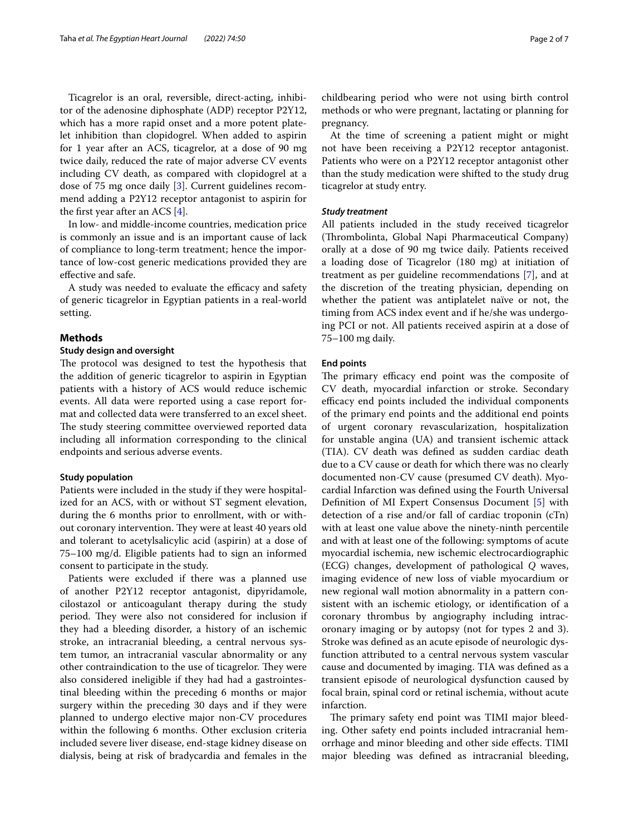Ticagrelor is an oral, reversible, direct-acting, inhibitor of the adenosine diphosphate (ADP) receptor P2Y12, which has a more rapid onset and a more potent platelet inhibition than clopidogrel. When added to aspirin for 1 year after an ACS, ticagrelor, at a dose of 90 mg twice daily, reduced the rate of major adverse CV events including CV death, as compared with clopidogrel at a dose of 75 mg once daily [\[3](#page-6-2)]. Current guidelines recommend adding a P2Y12 receptor antagonist to aspirin for the frst year after an ACS [[4\]](#page-6-3).

In low- and middle-income countries, medication price is commonly an issue and is an important cause of lack of compliance to long-term treatment; hence the importance of low-cost generic medications provided they are efective and safe.

A study was needed to evaluate the efficacy and safety of generic ticagrelor in Egyptian patients in a real-world setting.

## **Methods**

# **Study design and oversight**

The protocol was designed to test the hypothesis that the addition of generic ticagrelor to aspirin in Egyptian patients with a history of ACS would reduce ischemic events. All data were reported using a case report format and collected data were transferred to an excel sheet. The study steering committee overviewed reported data including all information corresponding to the clinical endpoints and serious adverse events.

#### **Study population**

Patients were included in the study if they were hospitalized for an ACS, with or without ST segment elevation, during the 6 months prior to enrollment, with or without coronary intervention. They were at least 40 years old and tolerant to acetylsalicylic acid (aspirin) at a dose of 75–100 mg/d. Eligible patients had to sign an informed consent to participate in the study.

Patients were excluded if there was a planned use of another P2Y12 receptor antagonist, dipyridamole, cilostazol or anticoagulant therapy during the study period. They were also not considered for inclusion if they had a bleeding disorder, a history of an ischemic stroke, an intracranial bleeding, a central nervous system tumor, an intracranial vascular abnormality or any other contraindication to the use of ticagrelor. They were also considered ineligible if they had had a gastrointestinal bleeding within the preceding 6 months or major surgery within the preceding 30 days and if they were planned to undergo elective major non-CV procedures within the following 6 months. Other exclusion criteria included severe liver disease, end-stage kidney disease on dialysis, being at risk of bradycardia and females in the childbearing period who were not using birth control methods or who were pregnant, lactating or planning for pregnancy.

At the time of screening a patient might or might not have been receiving a P2Y12 receptor antagonist. Patients who were on a P2Y12 receptor antagonist other than the study medication were shifted to the study drug ticagrelor at study entry.

# *Study treatment*

All patients included in the study received ticagrelor (Thrombolinta, Global Napi Pharmaceutical Company) orally at a dose of 90 mg twice daily. Patients received a loading dose of Ticagrelor (180 mg) at initiation of treatment as per guideline recommendations [[7\]](#page-6-4), and at the discretion of the treating physician, depending on whether the patient was antiplatelet naïve or not, the timing from ACS index event and if he/she was undergoing PCI or not. All patients received aspirin at a dose of 75–100 mg daily.

# **End points**

The primary efficacy end point was the composite of CV death, myocardial infarction or stroke. Secondary efficacy end points included the individual components of the primary end points and the additional end points of urgent coronary revascularization, hospitalization for unstable angina (UA) and transient ischemic attack (TIA). CV death was defned as sudden cardiac death due to a CV cause or death for which there was no clearly documented non-CV cause (presumed CV death). Myocardial Infarction was defned using the Fourth Universal Defnition of MI Expert Consensus Document [\[5](#page-6-5)] with detection of a rise and/or fall of cardiac troponin (cTn) with at least one value above the ninety-ninth percentile and with at least one of the following: symptoms of acute myocardial ischemia, new ischemic electrocardiographic (ECG) changes, development of pathological *Q* waves, imaging evidence of new loss of viable myocardium or new regional wall motion abnormality in a pattern consistent with an ischemic etiology, or identifcation of a coronary thrombus by angiography including intracoronary imaging or by autopsy (not for types 2 and 3). Stroke was defned as an acute episode of neurologic dysfunction attributed to a central nervous system vascular cause and documented by imaging. TIA was defned as a transient episode of neurological dysfunction caused by focal brain, spinal cord or retinal ischemia, without acute infarction.

The primary safety end point was TIMI major bleeding. Other safety end points included intracranial hemorrhage and minor bleeding and other side efects. TIMI major bleeding was defned as intracranial bleeding,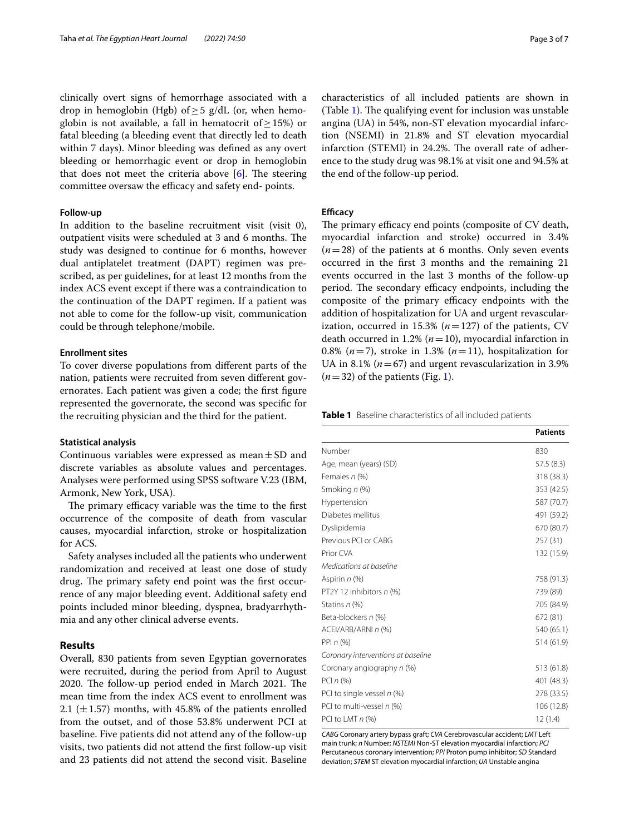clinically overt signs of hemorrhage associated with a drop in hemoglobin (Hgb) of > 5  $g/dL$  (or, when hemoglobin is not available, a fall in hematocrit of  $\geq$  15%) or fatal bleeding (a bleeding event that directly led to death within 7 days). Minor bleeding was defned as any overt bleeding or hemorrhagic event or drop in hemoglobin that does not meet the criteria above  $[6]$  $[6]$ . The steering committee oversaw the efficacy and safety end- points.

# **Follow‑up**

In addition to the baseline recruitment visit (visit 0), outpatient visits were scheduled at 3 and 6 months. The study was designed to continue for 6 months, however dual antiplatelet treatment (DAPT) regimen was prescribed, as per guidelines, for at least 12 months from the index ACS event except if there was a contraindication to the continuation of the DAPT regimen. If a patient was not able to come for the follow-up visit, communication could be through telephone/mobile.

#### **Enrollment sites**

To cover diverse populations from diferent parts of the nation, patients were recruited from seven diferent governorates. Each patient was given a code; the frst fgure represented the governorate, the second was specifc for the recruiting physician and the third for the patient.

## **Statistical analysis**

Continuous variables were expressed as mean $\pm$ SD and discrete variables as absolute values and percentages. Analyses were performed using SPSS software V.23 (IBM, Armonk, New York, USA).

The primary efficacy variable was the time to the first occurrence of the composite of death from vascular causes, myocardial infarction, stroke or hospitalization for ACS.

Safety analyses included all the patients who underwent randomization and received at least one dose of study drug. The primary safety end point was the first occurrence of any major bleeding event. Additional safety end points included minor bleeding, dyspnea, bradyarrhythmia and any other clinical adverse events.

# **Results**

Overall, 830 patients from seven Egyptian governorates were recruited, during the period from April to August 2020. The follow-up period ended in March 2021. The mean time from the index ACS event to enrollment was 2.1 ( $\pm$ 1.57) months, with 45.8% of the patients enrolled from the outset, and of those 53.8% underwent PCI at baseline. Five patients did not attend any of the follow-up visits, two patients did not attend the frst follow-up visit and 23 patients did not attend the second visit. Baseline characteristics of all included patients are shown in (Table [1\)](#page-2-0). The qualifying event for inclusion was unstable angina (UA) in 54%, non-ST elevation myocardial infarction (NSEMI) in 21.8% and ST elevation myocardial infarction (STEMI) in 24.2%. The overall rate of adherence to the study drug was 98.1% at visit one and 94.5% at

## <span id="page-2-1"></span>**Efficacy**

the end of the follow-up period.

The primary efficacy end points (composite of CV death, myocardial infarction and stroke) occurred in 3.4%  $(n=28)$  of the patients at 6 months. Only seven events occurred in the frst 3 months and the remaining 21 events occurred in the last 3 months of the follow-up period. The secondary efficacy endpoints, including the composite of the primary efficacy endpoints with the addition of hospitalization for UA and urgent revascularization, occurred in 15.3% ( $n=127$ ) of the patients, CV death occurred in 1.2% ( $n=10$ ), myocardial infarction in 0.8% ( $n=7$ ), stroke in 1.3% ( $n=11$ ), hospitalization for UA in 8.1% ( $n=67$ ) and urgent revascularization in 3.9%  $(n=32)$  of the patients (Fig. [1\)](#page-3-0).

<span id="page-2-0"></span>**Table 1** Baseline characteristics of all included patients

|                                    | <b>Patients</b> |
|------------------------------------|-----------------|
| Number                             | 830             |
| Age, mean (years) (SD)             | 57.5(8.3)       |
| Females n (%)                      | 318 (38.3)      |
| Smoking n (%)                      | 353 (42.5)      |
| Hypertension                       | 587 (70.7)      |
| Diabetes mellitus                  | 491 (59.2)      |
| Dyslipidemia                       | 670 (80.7)      |
| Previous PCI or CABG               | 257(31)         |
| Prior CVA                          | 132 (15.9)      |
| Medications at baseline            |                 |
| Aspirin n (%)                      | 758 (91.3)      |
| PT2Y 12 inhibitors n (%)           | 739 (89)        |
| Statins n (%)                      | 705 (84.9)      |
| Beta-blockers n (%)                | 672 (81)        |
| ACEI/ARB/ARNI <sub>n</sub> (%)     | 540 (65.1)      |
| PPI $n$ (%)                        | 514 (61.9)      |
| Coronary interventions at baseline |                 |
| Coronary angiography n (%)         | 513 (61.8)      |
| PCI $n$ (%)                        | 401 (48.3)      |
| PCI to single vessel $n$ (%)       | 278 (33.5)      |
| PCI to multi-vessel n (%)          | 106 (12.8)      |
| PCI to LMT n (%)                   | 12(1.4)         |

*CABG* Coronary artery bypass graft; *CVA* Cerebrovascular accident; *LMT* Left main trunk; *n* Number; *NSTEMI* Non-ST elevation myocardial infarction; *PCI* Percutaneous coronary intervention; *PPI* Proton pump inhibitor; *SD* Standard deviation; *STEM* ST elevation myocardial infarction; *UA* Unstable angina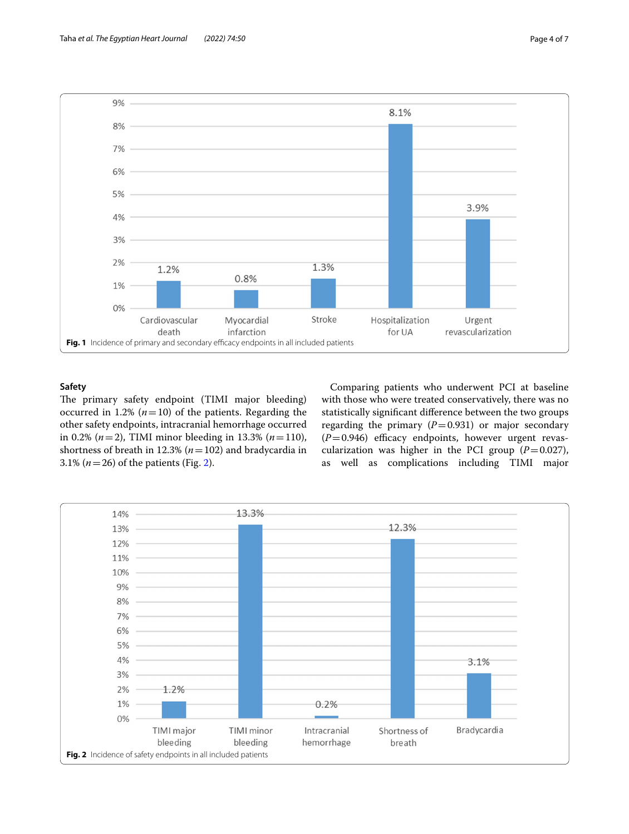

# <span id="page-3-0"></span>**Safety**

The primary safety endpoint (TIMI major bleeding) occurred in 1.2%  $(n=10)$  of the patients. Regarding the other safety endpoints, intracranial hemorrhage occurred in 0.2% (*n*=2), TIMI minor bleeding in 13.3% (*n*=110), shortness of breath in 12.3% (*n*=102) and bradycardia in 3.1% ( $n = 26$ ) of the patients (Fig. [2\)](#page-3-1).

Comparing patients who underwent PCI at baseline with those who were treated conservatively, there was no statistically signifcant diference between the two groups regarding the primary  $(P=0.931)$  or major secondary  $(P=0.946)$  efficacy endpoints, however urgent revascularization was higher in the PCI group  $(P=0.027)$ , as well as complications including TIMI major

<span id="page-3-1"></span>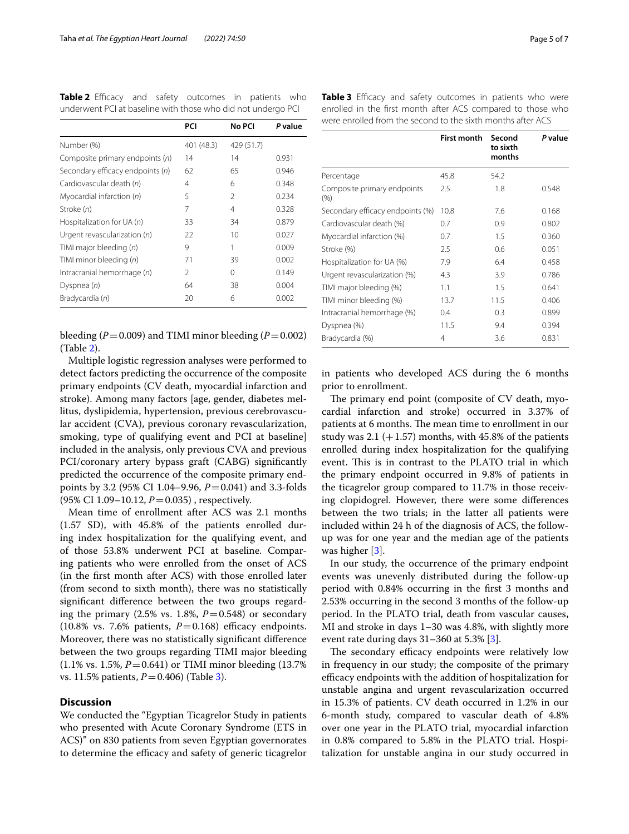<span id="page-4-0"></span>**Table 2** Efficacy and safety outcomes in patients who underwent PCI at baseline with those who did not undergo PCI

|                                  | PCI            | No PCI         | P value |
|----------------------------------|----------------|----------------|---------|
| Number (%)                       | 401 (48.3)     | 429 (51.7)     |         |
| Composite primary endpoints (n)  | 14             | 14             | 0.931   |
| Secondary efficacy endpoints (n) | 62             | 65             | 0.946   |
| Cardiovascular death (n)         | 4              | 6              | 0.348   |
| Myocardial infarction (n)        | 5              | $\mathfrak{D}$ | 0.234   |
| Stroke (n)                       | 7              | 4              | 0.328   |
| Hospitalization for UA (n)       | 33             | 34             | 0.879   |
| Urgent revascularization $(n)$   | 22             | 10             | 0.027   |
| TIMI major bleeding (n)          | 9              | 1              | 0.009   |
| TIMI minor bleeding (n)          | 71             | 39             | 0.002   |
| Intracranial hemorrhage (n)      | $\mathfrak{D}$ | $\Omega$       | 0.149   |
| Dyspnea $(n)$                    | 64             | 38             | 0.004   |
| Bradycardia (n)                  | 20             | 6              | 0.002   |

bleeding  $(P=0.009)$  and TIMI minor bleeding  $(P=0.002)$ (Table [2](#page-4-0)).

Multiple logistic regression analyses were performed to detect factors predicting the occurrence of the composite primary endpoints (CV death, myocardial infarction and stroke). Among many factors [age, gender, diabetes mellitus, dyslipidemia, hypertension, previous cerebrovascular accident (CVA), previous coronary revascularization, smoking, type of qualifying event and PCI at baseline] included in the analysis, only previous CVA and previous PCI/coronary artery bypass graft (CABG) signifcantly predicted the occurrence of the composite primary endpoints by 3.2 (95% CI 1.04–9.96, *P*=0.041) and 3.3-folds (95% CI 1.09-10.12, *P* = 0.035), respectively.

Mean time of enrollment after ACS was 2.1 months (1.57 SD), with 45.8% of the patients enrolled during index hospitalization for the qualifying event, and of those 53.8% underwent PCI at baseline. Comparing patients who were enrolled from the onset of ACS (in the frst month after ACS) with those enrolled later (from second to sixth month), there was no statistically signifcant diference between the two groups regarding the primary  $(2.5\% \text{ vs. } 1.8\%, P=0.548)$  or secondary (10.8% vs. 7.6% patients,  $P=0.168$ ) efficacy endpoints. Moreover, there was no statistically signifcant diference between the two groups regarding TIMI major bleeding  $(1.1\% \text{ vs. } 1.5\%, P=0.641) \text{ or TIMI minor bleeding } (13.7\%$ vs. 11.5% patients, *P*=0.406) (Table [3](#page-4-1)).

# **Discussion**

We conducted the "Egyptian Ticagrelor Study in patients who presented with Acute Coronary Syndrome (ETS in ACS)" on 830 patients from seven Egyptian governorates to determine the efficacy and safety of generic ticagrelor

<span id="page-4-1"></span>

|                                                             | Table 3 Efficacy and safety outcomes in patients who were   |  |  |  |  |  |  |  |  |
|-------------------------------------------------------------|-------------------------------------------------------------|--|--|--|--|--|--|--|--|
|                                                             | enrolled in the first month after ACS compared to those who |  |  |  |  |  |  |  |  |
| were enrolled from the second to the sixth months after ACS |                                                             |  |  |  |  |  |  |  |  |

|                                    | <b>First month</b> | Second<br>to sixth<br>months | P value |
|------------------------------------|--------------------|------------------------------|---------|
| Percentage                         | 45.8               | 54.2                         |         |
| Composite primary endpoints<br>(%) | 2.5                | 1.8                          | 0.548   |
| Secondary efficacy endpoints (%)   | 10.8               | 7.6                          | 0.168   |
| Cardiovascular death (%)           | 0.7                | 0.9                          | 0.802   |
| Myocardial infarction (%)          | 0.7                | 1.5                          | 0.360   |
| Stroke (%)                         | 2.5                | 0.6                          | 0.051   |
| Hospitalization for UA (%)         | 7.9                | 6.4                          | 0.458   |
| Urgent revascularization (%)       | 4.3                | 3.9                          | 0.786   |
| TIMI major bleeding (%)            | 1.1                | 1.5                          | 0.641   |
| TIMI minor bleeding (%)            | 13.7               | 11.5                         | 0.406   |
| Intracranial hemorrhage (%)        | 0.4                | 0.3                          | 0.899   |
| Dyspnea (%)                        | 11.5               | 9.4                          | 0.394   |
| Bradycardia (%)                    | 4                  | 3.6                          | 0.831   |

in patients who developed ACS during the 6 months prior to enrollment.

The primary end point (composite of CV death, myocardial infarction and stroke) occurred in 3.37% of patients at 6 months. The mean time to enrollment in our study was  $2.1$  (+1.57) months, with 45.8% of the patients enrolled during index hospitalization for the qualifying event. This is in contrast to the PLATO trial in which the primary endpoint occurred in 9.8% of patients in the ticagrelor group compared to 11.7% in those receiving clopidogrel. However, there were some diferences between the two trials; in the latter all patients were included within 24 h of the diagnosis of ACS, the followup was for one year and the median age of the patients was higher [\[3](#page-6-2)].

In our study, the occurrence of the primary endpoint events was unevenly distributed during the follow-up period with 0.84% occurring in the frst 3 months and 2.53% occurring in the second 3 months of the follow-up period. In the PLATO trial, death from vascular causes, MI and stroke in days 1–30 was 4.8%, with slightly more event rate during days 31–360 at 5.3% [\[3](#page-6-2)].

The secondary efficacy endpoints were relatively low in frequency in our study; the composite of the primary efficacy endpoints with the addition of hospitalization for unstable angina and urgent revascularization occurred in 15.3% of patients. CV death occurred in 1.2% in our 6-month study, compared to vascular death of 4.8% over one year in the PLATO trial, myocardial infarction in 0.8% compared to 5.8% in the PLATO trial. Hospitalization for unstable angina in our study occurred in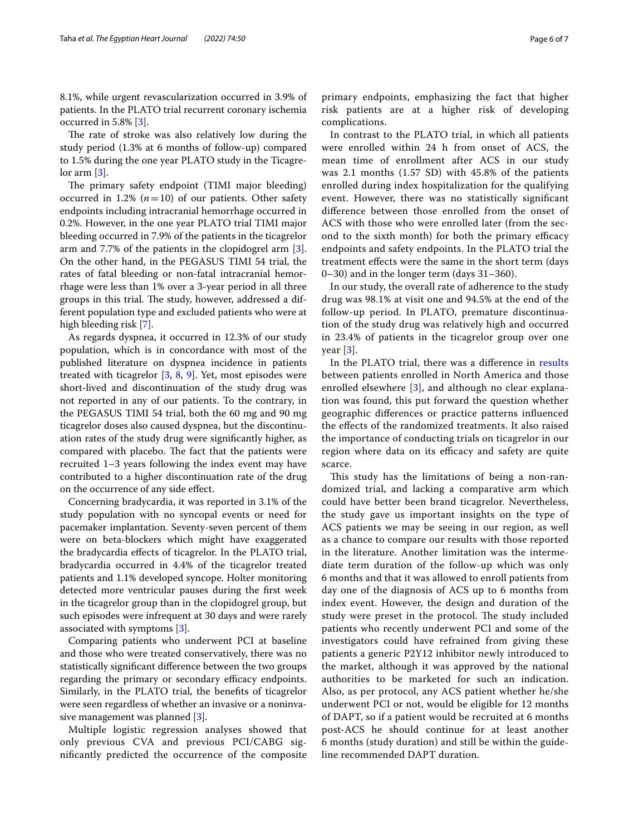8.1%, while urgent revascularization occurred in 3.9% of patients. In the PLATO trial recurrent coronary ischemia occurred in 5.8% [[3\]](#page-6-2).

The rate of stroke was also relatively low during the study period (1.3% at 6 months of follow-up) compared to 1.5% during the one year PLATO study in the Ticagre- $\alpha$  lor arm  $[3]$  $[3]$ .

The primary safety endpoint (TIMI major bleeding) occurred in 1.2%  $(n=10)$  of our patients. Other safety endpoints including intracranial hemorrhage occurred in 0.2%. However, in the one year PLATO trial TIMI major bleeding occurred in 7.9% of the patients in the ticagrelor arm and 7.7% of the patients in the clopidogrel arm [\[3](#page-6-2)]. On the other hand, in the PEGASUS TIMI 54 trial, the rates of fatal bleeding or non-fatal intracranial hemorrhage were less than 1% over a 3-year period in all three groups in this trial. The study, however, addressed a different population type and excluded patients who were at high bleeding risk [\[7](#page-6-4)].

As regards dyspnea, it occurred in 12.3% of our study population, which is in concordance with most of the published literature on dyspnea incidence in patients treated with ticagrelor [[3,](#page-6-2) [8](#page-6-7), [9\]](#page-6-8). Yet, most episodes were short-lived and discontinuation of the study drug was not reported in any of our patients. To the contrary, in the PEGASUS TIMI 54 trial, both the 60 mg and 90 mg ticagrelor doses also caused dyspnea, but the discontinuation rates of the study drug were signifcantly higher, as compared with placebo. The fact that the patients were recruited 1–3 years following the index event may have contributed to a higher discontinuation rate of the drug on the occurrence of any side efect.

Concerning bradycardia, it was reported in 3.1% of the study population with no syncopal events or need for pacemaker implantation. Seventy-seven percent of them were on beta-blockers which might have exaggerated the bradycardia efects of ticagrelor. In the PLATO trial, bradycardia occurred in 4.4% of the ticagrelor treated patients and 1.1% developed syncope. Holter monitoring detected more ventricular pauses during the frst week in the ticagrelor group than in the clopidogrel group, but such episodes were infrequent at 30 days and were rarely associated with symptoms [\[3](#page-6-2)].

Comparing patients who underwent PCI at baseline and those who were treated conservatively, there was no statistically signifcant diference between the two groups regarding the primary or secondary efficacy endpoints. Similarly, in the PLATO trial, the benefts of ticagrelor were seen regardless of whether an invasive or a noninvasive management was planned [\[3](#page-6-2)].

Multiple logistic regression analyses showed that only previous CVA and previous PCI/CABG signifcantly predicted the occurrence of the composite primary endpoints, emphasizing the fact that higher risk patients are at a higher risk of developing complications.

In contrast to the PLATO trial, in which all patients were enrolled within 24 h from onset of ACS, the mean time of enrollment after ACS in our study was 2.1 months (1.57 SD) with 45.8% of the patients enrolled during index hospitalization for the qualifying event. However, there was no statistically signifcant diference between those enrolled from the onset of ACS with those who were enrolled later (from the second to the sixth month) for both the primary efficacy endpoints and safety endpoints. In the PLATO trial the treatment efects were the same in the short term (days 0–30) and in the longer term (days 31–360).

In our study, the overall rate of adherence to the study drug was 98.1% at visit one and 94.5% at the end of the follow-up period. In PLATO, premature discontinuation of the study drug was relatively high and occurred in 23.4% of patients in the ticagrelor group over one year [\[3](#page-6-2)].

In the PLATO trial, there was a diference in [results](#page-2-1) between patients enrolled in North America and those enrolled elsewhere [\[3](#page-6-2)], and although no clear explanation was found, this put forward the question whether geographic diferences or practice patterns infuenced the efects of the randomized treatments. It also raised the importance of conducting trials on ticagrelor in our region where data on its efficacy and safety are quite scarce.

This study has the limitations of being a non-randomized trial, and lacking a comparative arm which could have better been brand ticagrelor. Nevertheless, the study gave us important insights on the type of ACS patients we may be seeing in our region, as well as a chance to compare our results with those reported in the literature. Another limitation was the intermediate term duration of the follow-up which was only 6 months and that it was allowed to enroll patients from day one of the diagnosis of ACS up to 6 months from index event. However, the design and duration of the study were preset in the protocol. The study included patients who recently underwent PCI and some of the investigators could have refrained from giving these patients a generic P2Y12 inhibitor newly introduced to the market, although it was approved by the national authorities to be marketed for such an indication. Also, as per protocol, any ACS patient whether he/she underwent PCI or not, would be eligible for 12 months of DAPT, so if a patient would be recruited at 6 months post-ACS he should continue for at least another 6 months (study duration) and still be within the guideline recommended DAPT duration.